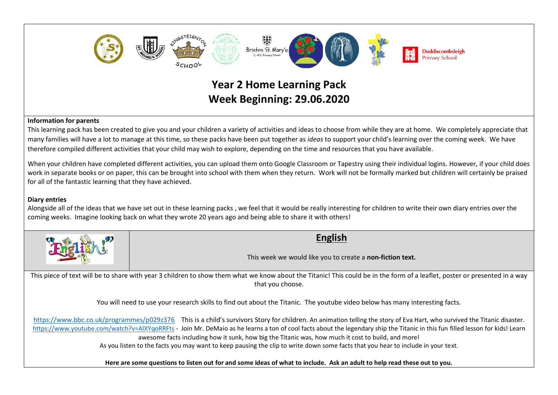

## **Information for parents**

This learning pack has been created to give you and your children a variety of activities and ideas to choose from while they are at home. We completely appreciate that many families will have a lot to manage at this time, so these packs have been put together as *ideas* to support your child's learning over the coming week. We have therefore compiled different activities that your child may wish to explore, depending on the time and resources that you have available.

When your children have completed different activities, you can upload them onto Google Classroom or Tapestry using their individual logins. However, if your child does work in separate books or on paper, this can be brought into school with them when they return. Work will not be formally marked but children will certainly be praised for all of the fantastic learning that they have achieved.

## **Diary entries**

Alongside all of the ideas that we have set out in these learning packs , we feel that it would be really interesting for children to write their own diary entries over the coming weeks. Imagine looking back on what they wrote 20 years ago and being able to share it with others!

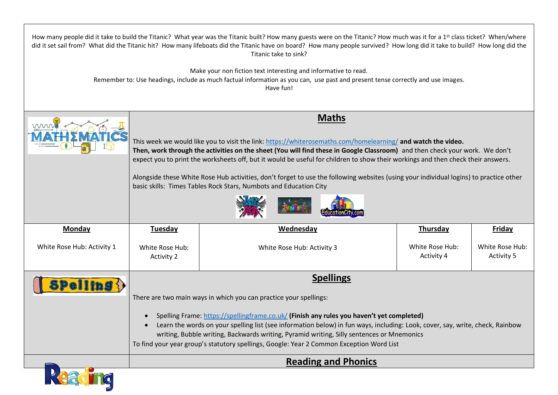| How many people did it take to build the Titanic? What year was the Titanic built? How many guests were on the Titanic? How much was it for a 1 <sup>st</sup> class ticket? When/where<br>did it set sail from? What did the Titanic hit? How many lifeboats did the Titanic have on board? How many people survived? How long did it take to build? How long did the<br>Titanic take to sink? |                                                                                                                                                                                                                                                                                                                                                                                                                                                                                                                                                                                                                |                            |                               |                                      |
|------------------------------------------------------------------------------------------------------------------------------------------------------------------------------------------------------------------------------------------------------------------------------------------------------------------------------------------------------------------------------------------------|----------------------------------------------------------------------------------------------------------------------------------------------------------------------------------------------------------------------------------------------------------------------------------------------------------------------------------------------------------------------------------------------------------------------------------------------------------------------------------------------------------------------------------------------------------------------------------------------------------------|----------------------------|-------------------------------|--------------------------------------|
| Make your non fiction text interesting and informative to read.<br>Remember to: Use headings, include as much factual information as you can, use past and present tense correctly and use images.<br>Have fun!                                                                                                                                                                                |                                                                                                                                                                                                                                                                                                                                                                                                                                                                                                                                                                                                                |                            |                               |                                      |
| mm                                                                                                                                                                                                                                                                                                                                                                                             | <b>Maths</b><br>This week we would like you to visit the link: https://whiterosemaths.com/homelearning/ and watch the video.<br>Then, work through the activities on the sheet (You will find these in Google Classroom) and then check your work. We don't<br>expect you to print the worksheets off, but it would be useful for children to show their workings and then check their answers.<br>Alongside these White Rose Hub activities, don't forget to use the following websites (using your individual logins) to practice other<br>basic skills: Times Tables Rock Stars, Numbots and Education City |                            |                               |                                      |
|                                                                                                                                                                                                                                                                                                                                                                                                |                                                                                                                                                                                                                                                                                                                                                                                                                                                                                                                                                                                                                |                            |                               |                                      |
| <b>Monday</b>                                                                                                                                                                                                                                                                                                                                                                                  | <b>Tuesday</b>                                                                                                                                                                                                                                                                                                                                                                                                                                                                                                                                                                                                 | <b>Wednesday</b>           | <b>Thursday</b>               | <b>Friday</b>                        |
| White Rose Hub: Activity 1                                                                                                                                                                                                                                                                                                                                                                     | White Rose Hub:<br><b>Activity 2</b>                                                                                                                                                                                                                                                                                                                                                                                                                                                                                                                                                                           | White Rose Hub: Activity 3 | White Rose Hub:<br>Activity 4 | White Rose Hub:<br><b>Activity 5</b> |
|                                                                                                                                                                                                                                                                                                                                                                                                | <b>Spellings</b>                                                                                                                                                                                                                                                                                                                                                                                                                                                                                                                                                                                               |                            |                               |                                      |
| <b>Spelling {</b><br>There are two main ways in which you can practice your spellings:                                                                                                                                                                                                                                                                                                         |                                                                                                                                                                                                                                                                                                                                                                                                                                                                                                                                                                                                                |                            |                               |                                      |
|                                                                                                                                                                                                                                                                                                                                                                                                | Spelling Frame: https://spellingframe.co.uk/ (Finish any rules you haven't yet completed)<br>Learn the words on your spelling list (see information below) in fun ways, including: Look, cover, say, write, check, Rainbow<br>writing, Bubble writing, Backwards writing, Pyramid writing, Silly sentences or Mnemonics<br>To find your year group's statutory spellings, Google: Year 2 Common Exception Word List                                                                                                                                                                                            |                            |                               |                                      |
|                                                                                                                                                                                                                                                                                                                                                                                                |                                                                                                                                                                                                                                                                                                                                                                                                                                                                                                                                                                                                                |                            |                               |                                      |
|                                                                                                                                                                                                                                                                                                                                                                                                |                                                                                                                                                                                                                                                                                                                                                                                                                                                                                                                                                                                                                |                            |                               |                                      |
|                                                                                                                                                                                                                                                                                                                                                                                                |                                                                                                                                                                                                                                                                                                                                                                                                                                                                                                                                                                                                                |                            |                               |                                      |
|                                                                                                                                                                                                                                                                                                                                                                                                | <b>Reading and Phonics</b>                                                                                                                                                                                                                                                                                                                                                                                                                                                                                                                                                                                     |                            |                               |                                      |
| Peacing                                                                                                                                                                                                                                                                                                                                                                                        |                                                                                                                                                                                                                                                                                                                                                                                                                                                                                                                                                                                                                |                            |                               |                                      |

 $\Gamma$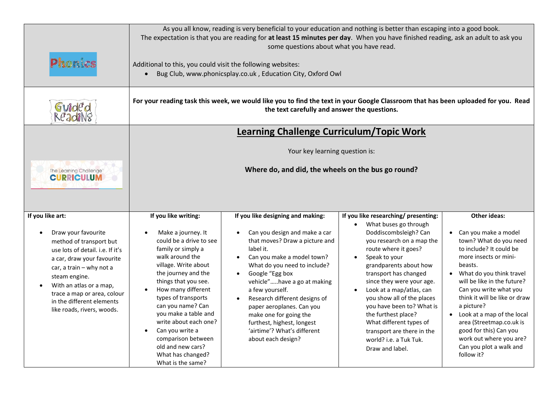| Phonics                                                                                                                                                                                                                                                                                                | Additional to this, you could visit the following websites:                                                                                                                                                                                                                                                                                                                                                      | As you all know, reading is very beneficial to your education and nothing is better than escaping into a good book.<br>The expectation is that you are reading for at least 15 minutes per day. When you have finished reading, ask an adult to ask you<br>some questions about what you have read.<br>Bug Club, www.phonicsplay.co.uk, Education City, Oxford Owl                                                              |                                                                                                                                                                                                                                                                                                                                                                                                                                                                                            |                                                                                                                                                                                                                                                                                                                                                                                                                                                   |
|--------------------------------------------------------------------------------------------------------------------------------------------------------------------------------------------------------------------------------------------------------------------------------------------------------|------------------------------------------------------------------------------------------------------------------------------------------------------------------------------------------------------------------------------------------------------------------------------------------------------------------------------------------------------------------------------------------------------------------|---------------------------------------------------------------------------------------------------------------------------------------------------------------------------------------------------------------------------------------------------------------------------------------------------------------------------------------------------------------------------------------------------------------------------------|--------------------------------------------------------------------------------------------------------------------------------------------------------------------------------------------------------------------------------------------------------------------------------------------------------------------------------------------------------------------------------------------------------------------------------------------------------------------------------------------|---------------------------------------------------------------------------------------------------------------------------------------------------------------------------------------------------------------------------------------------------------------------------------------------------------------------------------------------------------------------------------------------------------------------------------------------------|
| Guided<br>ReadiNg                                                                                                                                                                                                                                                                                      | For your reading task this week, we would like you to find the text in your Google Classroom that has been uploaded for you. Read<br>the text carefully and answer the questions.                                                                                                                                                                                                                                |                                                                                                                                                                                                                                                                                                                                                                                                                                 |                                                                                                                                                                                                                                                                                                                                                                                                                                                                                            |                                                                                                                                                                                                                                                                                                                                                                                                                                                   |
| The Learning Challenge <sup>®</sup><br><b>CURRICULUM</b>                                                                                                                                                                                                                                               | <b>Learning Challenge Curriculum/Topic Work</b><br>Your key learning question is:<br>Where do, and did, the wheels on the bus go round?                                                                                                                                                                                                                                                                          |                                                                                                                                                                                                                                                                                                                                                                                                                                 |                                                                                                                                                                                                                                                                                                                                                                                                                                                                                            |                                                                                                                                                                                                                                                                                                                                                                                                                                                   |
| If you like art:<br>Draw your favourite<br>method of transport but<br>use lots of detail. i.e. If it's<br>a car, draw your favourite<br>car, a train - why not a<br>steam engine.<br>With an atlas or a map,<br>trace a map or area, colour<br>in the different elements<br>like roads, rivers, woods. | If you like writing:<br>Make a journey. It<br>could be a drive to see<br>family or simply a<br>walk around the<br>village. Write about<br>the journey and the<br>things that you see.<br>How many different<br>types of transports<br>can you name? Can<br>you make a table and<br>write about each one?<br>Can you write a<br>comparison between<br>old and new cars?<br>What has changed?<br>What is the same? | If you like designing and making:<br>Can you design and make a car<br>that moves? Draw a picture and<br>label it.<br>Can you make a model town?<br>What do you need to include?<br>Google "Egg box<br>vehicle"have a go at making<br>a few yourself.<br>Research different designs of<br>paper aeroplanes. Can you<br>make one for going the<br>furthest, highest, longest<br>'airtime'? What's different<br>about each design? | If you like researching/ presenting:<br>What buses go through<br>Doddiscombsleigh? Can<br>you research on a map the<br>route where it goes?<br>Speak to your<br>$\bullet$<br>grandparents about how<br>transport has changed<br>since they were your age.<br>Look at a map/atlas, can<br>$\bullet$<br>you show all of the places<br>you have been to? What is<br>the furthest place?<br>What different types of<br>transport are there in the<br>world? i.e. a Tuk Tuk.<br>Draw and label. | <b>Other ideas:</b><br>Can you make a model<br>$\bullet$<br>town? What do you need<br>to include? It could be<br>more insects or mini-<br>beasts.<br>• What do you think travel<br>will be like in the future?<br>Can you write what you<br>think it will be like or draw<br>a picture?<br>• Look at a map of the local<br>area (Streetmap.co.uk is<br>good for this) Can you<br>work out where you are?<br>Can you plot a walk and<br>follow it? |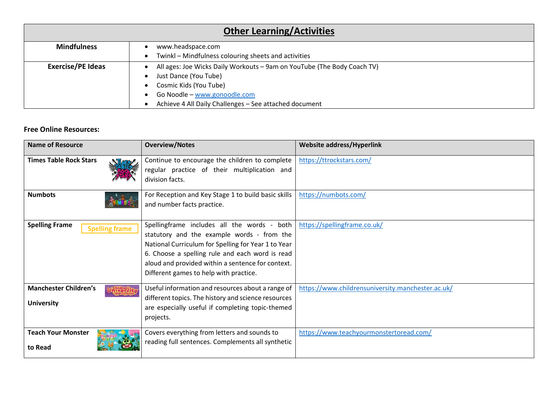| <b>Other Learning/Activities</b> |                                                                         |  |  |
|----------------------------------|-------------------------------------------------------------------------|--|--|
| <b>Mindfulness</b>               | www.headspace.com                                                       |  |  |
|                                  | Twinkl - Mindfulness colouring sheets and activities                    |  |  |
| <b>Exercise/PE Ideas</b>         | All ages: Joe Wicks Daily Workouts - 9am on YouTube (The Body Coach TV) |  |  |
|                                  | Just Dance (You Tube)                                                   |  |  |
|                                  | Cosmic Kids (You Tube)                                                  |  |  |
|                                  | Go Noodle - www.gonoodle.com                                            |  |  |
|                                  | Achieve 4 All Daily Challenges - See attached document                  |  |  |

## **Free Online Resources:**

| <b>Name of Resource</b>                           | <b>Overview/Notes</b>                                                                                                                                                                                                                                                                              | <b>Website address/Hyperlink</b>                  |
|---------------------------------------------------|----------------------------------------------------------------------------------------------------------------------------------------------------------------------------------------------------------------------------------------------------------------------------------------------------|---------------------------------------------------|
| <b>Times Table Rock Stars</b>                     | Continue to encourage the children to complete<br>regular practice of their multiplication and<br>division facts.                                                                                                                                                                                  | https://ttrockstars.com/                          |
| <b>Numbots</b>                                    | For Reception and Key Stage 1 to build basic skills<br>and number facts practice.                                                                                                                                                                                                                  | https://numbots.com/                              |
| <b>Spelling Frame</b><br><b>Spelling frame</b>    | Spellingframe includes all the words - both<br>statutory and the example words - from the<br>National Curriculum for Spelling for Year 1 to Year<br>6. Choose a spelling rule and each word is read<br>aloud and provided within a sentence for context.<br>Different games to help with practice. | https://spellingframe.co.uk/                      |
| <b>Manchester Children's</b><br><b>University</b> | Useful information and resources about a range of<br>different topics. The history and science resources<br>are especially useful if completing topic-themed<br>projects.                                                                                                                          | https://www.childrensuniversity.manchester.ac.uk/ |
| <b>Teach Your Monster</b><br>to Read              | Covers everything from letters and sounds to<br>reading full sentences. Complements all synthetic                                                                                                                                                                                                  | https://www.teachyourmonstertoread.com/           |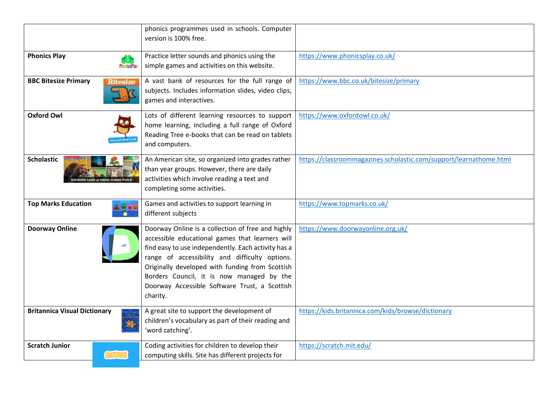|                                                | phonics programmes used in schools. Computer<br>version is 100% free.                                                                                                                                                                                                                                                                                                      |                                                                    |
|------------------------------------------------|----------------------------------------------------------------------------------------------------------------------------------------------------------------------------------------------------------------------------------------------------------------------------------------------------------------------------------------------------------------------------|--------------------------------------------------------------------|
| <b>Phonics Play</b><br><b>PhonicsPlay</b>      | Practice letter sounds and phonics using the<br>simple games and activities on this website.                                                                                                                                                                                                                                                                               | https://www.phonicsplay.co.uk/                                     |
| <b>BBC Bitesize Primary</b><br><b>Bitesize</b> | A vast bank of resources for the full range of<br>subjects. Includes information slides, video clips,<br>games and interactives.                                                                                                                                                                                                                                           | https://www.bbc.co.uk/bitesize/primary                             |
| <b>Oxford Owl</b>                              | Lots of different learning resources to support<br>home learning, including a full range of Oxford<br>Reading Tree e-books that can be read on tablets<br>and computers.                                                                                                                                                                                                   | https://www.oxfordowl.co.uk/                                       |
| <b>Scholastic</b>                              | An American site, so organized into grades rather<br>than year groups. However, there are daily<br>activities which involve reading a text and<br>completing some activities.                                                                                                                                                                                              | https://classroommagazines.scholastic.com/support/learnathome.html |
| <b>Top Marks Education</b>                     | Games and activities to support learning in<br>different subjects                                                                                                                                                                                                                                                                                                          | https://www.topmarks.co.uk/                                        |
| <b>Doorway Online</b>                          | Doorway Online is a collection of free and highly<br>accessible educational games that learners will<br>find easy to use independently. Each activity has a<br>range of accessibility and difficulty options.<br>Originally developed with funding from Scottish<br>Borders Council, it is now managed by the<br>Doorway Accessible Software Trust, a Scottish<br>charity. | https://www.doorwayonline.org.uk/                                  |
| <b>Britannica Visual Dictionary</b>            | A great site to support the development of<br>children's vocabulary as part of their reading and<br>'word catching'.                                                                                                                                                                                                                                                       | https://kids.britannica.com/kids/browse/dictionary                 |
| <b>Scratch Junior</b><br><b>GRATCH</b>         | Coding activities for children to develop their<br>computing skills. Site has different projects for                                                                                                                                                                                                                                                                       | https://scratch.mit.edu/                                           |